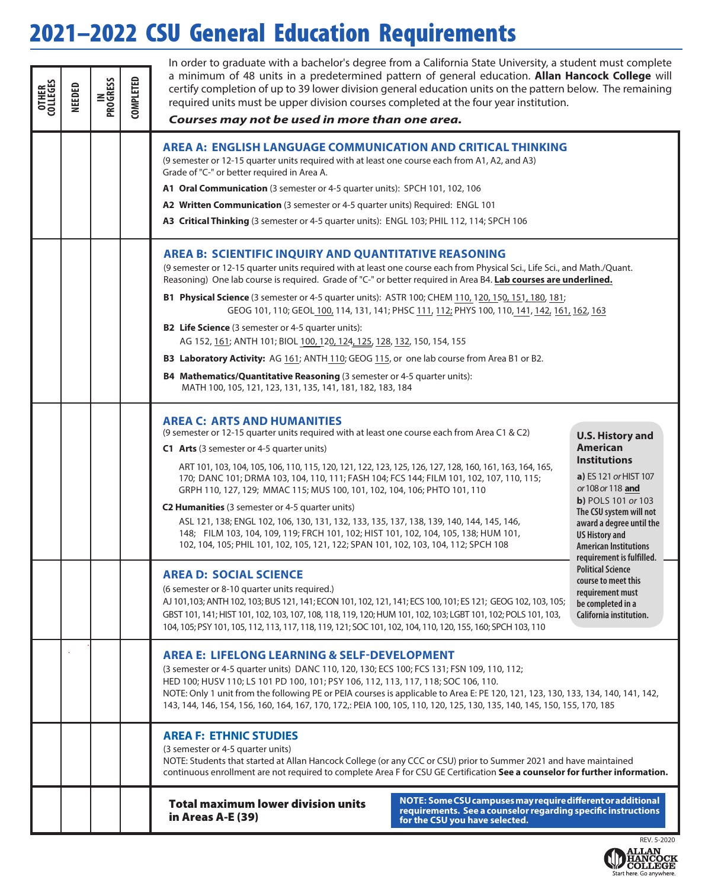## 2021–2022 CSU General Education Requirements

| <b>OTLEGES</b><br>COLLEGES | NEEDED | <b>IN<br/>PROGRESS</b> | <b>COMPLETED</b> | In order to graduate with a bachelor's degree from a California State University, a student must complete<br>a minimum of 48 units in a predetermined pattern of general education. Allan Hancock College will<br>certify completion of up to 39 lower division general education units on the pattern below. The remaining<br>required units must be upper division courses completed at the four year institution.<br>Courses may not be used in more than one area.                                                                                                                                                                                                                                                                                                                          |                                                                                                                                                                                                                                                                                                                                                                                                                   |  |  |  |  |  |  |
|----------------------------|--------|------------------------|------------------|-------------------------------------------------------------------------------------------------------------------------------------------------------------------------------------------------------------------------------------------------------------------------------------------------------------------------------------------------------------------------------------------------------------------------------------------------------------------------------------------------------------------------------------------------------------------------------------------------------------------------------------------------------------------------------------------------------------------------------------------------------------------------------------------------|-------------------------------------------------------------------------------------------------------------------------------------------------------------------------------------------------------------------------------------------------------------------------------------------------------------------------------------------------------------------------------------------------------------------|--|--|--|--|--|--|
|                            |        |                        |                  | AREA A: ENGLISH LANGUAGE COMMUNICATION AND CRITICAL THINKING<br>(9 semester or 12-15 quarter units required with at least one course each from A1, A2, and A3)<br>Grade of "C-" or better required in Area A.<br>A1 Oral Communication (3 semester or 4-5 quarter units): SPCH 101, 102, 106<br><b>A2 Written Communication</b> (3 semester or 4-5 quarter units) Required: ENGL 101<br><b>A3 Critical Thinking</b> (3 semester or 4-5 quarter units): ENGL 103; PHIL 112, 114; SPCH 106                                                                                                                                                                                                                                                                                                        |                                                                                                                                                                                                                                                                                                                                                                                                                   |  |  |  |  |  |  |
|                            |        |                        |                  | AREA B: SCIENTIFIC INQUIRY AND QUANTITATIVE REASONING<br>(9 semester or 12-15 quarter units required with at least one course each from Physical Sci., Life Sci., and Math./Quant.<br>Reasoning) One lab course is required. Grade of "C-" or better required in Area B4. Lab courses are underlined.                                                                                                                                                                                                                                                                                                                                                                                                                                                                                           |                                                                                                                                                                                                                                                                                                                                                                                                                   |  |  |  |  |  |  |
|                            |        |                        |                  | <b>B1 Physical Science</b> (3 semester or 4-5 quarter units): ASTR 100; CHEM 110, 120, 150, 151, 180, 181;<br>GEOG 101, 110; GEOL 100, 114, 131, 141; PHSC 111, 112; PHYS 100, 110, 141, 142, 161, 162, 163<br><b>B2 Life Science</b> (3 semester or 4-5 quarter units):<br>AG 152, 161; ANTH 101; BIOL 100, 120, 124, 125, 128, 132, 150, 154, 155<br>B3 Laboratory Activity: AG 161; ANTH 110; GEOG 115, or one lab course from Area B1 or B2.<br><b>B4 Mathematics/Quantitative Reasoning</b> (3 semester or 4-5 quarter units):<br>MATH 100, 105, 121, 123, 131, 135, 141, 181, 182, 183, 184                                                                                                                                                                                               |                                                                                                                                                                                                                                                                                                                                                                                                                   |  |  |  |  |  |  |
|                            |        |                        |                  | <b>AREA C: ARTS AND HUMANITIES</b><br>(9 semester or 12-15 quarter units required with at least one course each from Area C1 & C2)<br>C1 Arts (3 semester or 4-5 quarter units)<br>ART 101, 103, 104, 105, 106, 110, 115, 120, 121, 122, 123, 125, 126, 127, 128, 160, 161, 163, 164, 165,<br>170; DANC 101; DRMA 103, 104, 110, 111; FASH 104; FCS 144; FILM 101, 102, 107, 110, 115;<br>GRPH 110, 127, 129; MMAC 115; MUS 100, 101, 102, 104, 106; PHTO 101, 110<br>C2 Humanities (3 semester or 4-5 quarter units)<br>ASL 121, 138; ENGL 102, 106, 130, 131, 132, 133, 135, 137, 138, 139, 140, 144, 145, 146,<br>148; FILM 103, 104, 109, 119; FRCH 101, 102; HIST 101, 102, 104, 105, 138; HUM 101,<br>102, 104, 105; PHIL 101, 102, 105, 121, 122; SPAN 101, 102, 103, 104, 112; SPCH 108 | <b>U.S. History and</b><br><b>American</b><br><b>Institutions</b><br>a) ES 121 or HIST 107<br>or 108 or 118 and<br><b>b</b> ) POLS 101 or 103<br>The CSU system will not<br>award a degree until the<br><b>US History and</b><br><b>American Institutions</b><br>requirement is fulfilled.<br><b>Political Science</b><br>course to meet this<br>requirement must<br>be completed in a<br>California institution. |  |  |  |  |  |  |
|                            |        |                        |                  | <b>AREA D: SOCIAL SCIENCE</b><br>(6 semester or 8-10 quarter units required.)<br>AJ 101,103; ANTH 102, 103; BUS 121, 141; ECON 101, 102, 121, 141; ECS 100, 101; ES 121; GEOG 102, 103, 105;<br>GBST 101, 141; HIST 101, 102, 103, 107, 108, 118, 119, 120; HUM 101, 102, 103; LGBT 101, 102; POLS 101, 103,<br>104, 105; PSY 101, 105, 112, 113, 117, 118, 119, 121; SOC 101, 102, 104, 110, 120, 155, 160; SPCH 103, 110                                                                                                                                                                                                                                                                                                                                                                      |                                                                                                                                                                                                                                                                                                                                                                                                                   |  |  |  |  |  |  |
|                            |        |                        |                  | <b>AREA E: LIFELONG LEARNING &amp; SELF-DEVELOPMENT</b><br>(3 semester or 4-5 quarter units) DANC 110, 120, 130; ECS 100; FCS 131; FSN 109, 110, 112;<br>HED 100; HUSV 110; LS 101 PD 100, 101; PSY 106, 112, 113, 117, 118; SOC 106, 110.<br>NOTE: Only 1 unit from the following PE or PEIA courses is applicable to Area E: PE 120, 121, 123, 130, 133, 134, 140, 141, 142,<br>143, 144, 146, 154, 156, 160, 164, 167, 170, 172,: PEIA 100, 105, 110, 120, 125, 130, 135, 140, 145, 150, 155, 170, 185                                                                                                                                                                                                                                                                                       |                                                                                                                                                                                                                                                                                                                                                                                                                   |  |  |  |  |  |  |
|                            |        |                        |                  | <b>AREA F: ETHNIC STUDIES</b><br>(3 semester or 4-5 quarter units)<br>NOTE: Students that started at Allan Hancock College (or any CCC or CSU) prior to Summer 2021 and have maintained<br>continuous enrollment are not required to complete Area F for CSU GE Certification See a counselor for further information.                                                                                                                                                                                                                                                                                                                                                                                                                                                                          |                                                                                                                                                                                                                                                                                                                                                                                                                   |  |  |  |  |  |  |
|                            |        |                        |                  | NOTE: Some CSU campuses may require different or additional<br><b>Total maximum lower division units</b><br>requirements. See a counselor regarding specific instructions<br>in Areas A-E (39)<br>for the CSU you have selected.                                                                                                                                                                                                                                                                                                                                                                                                                                                                                                                                                                |                                                                                                                                                                                                                                                                                                                                                                                                                   |  |  |  |  |  |  |